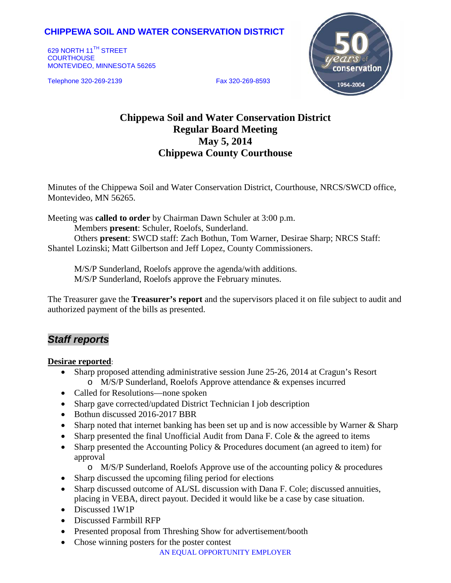## **CHIPPEWA SOIL AND WATER CONSERVATION DISTRICT**

629 NORTH 11<sup>TH</sup> STREET **COURTHOUSE** MONTEVIDEO, MINNESOTA 56265

Telephone 320-269-2139 Fax 320-269-8593



# **Chippewa Soil and Water Conservation District Regular Board Meeting May 5, 2014 Chippewa County Courthouse**

Minutes of the Chippewa Soil and Water Conservation District, Courthouse, NRCS/SWCD office, Montevideo, MN 56265.

Meeting was **called to order** by Chairman Dawn Schuler at 3:00 p.m. Members **present**: Schuler, Roelofs, Sunderland. Others **present**: SWCD staff: Zach Bothun, Tom Warner, Desirae Sharp; NRCS Staff: Shantel Lozinski; Matt Gilbertson and Jeff Lopez, County Commissioners.

M/S/P Sunderland, Roelofs approve the agenda/with additions. M/S/P Sunderland, Roelofs approve the February minutes.

The Treasurer gave the **Treasurer's report** and the supervisors placed it on file subject to audit and authorized payment of the bills as presented.

## *Staff reports*

### **Desirae reported**:

- Sharp proposed attending administrative session June 25-26, 2014 at Cragun's Resort o M/S/P Sunderland, Roelofs Approve attendance & expenses incurred
- Called for Resolutions—none spoken
- Sharp gave corrected/updated District Technician I job description
- Bothun discussed 2016-2017 BBR
- Sharp noted that internet banking has been set up and is now accessible by Warner & Sharp
- Sharp presented the final Unofficial Audit from Dana F. Cole  $\&$  the agreed to items
- Sharp presented the Accounting Policy & Procedures document (an agreed to item) for approval
	- o M/S/P Sunderland, Roelofs Approve use of the accounting policy & procedures
- Sharp discussed the upcoming filing period for elections
- Sharp discussed outcome of AL/SL discussion with Dana F. Cole; discussed annuities, placing in VEBA, direct payout. Decided it would like be a case by case situation.
- Discussed 1W1P
- Discussed Farmbill RFP
- Presented proposal from Threshing Show for advertisement/booth
- Chose winning posters for the poster contest